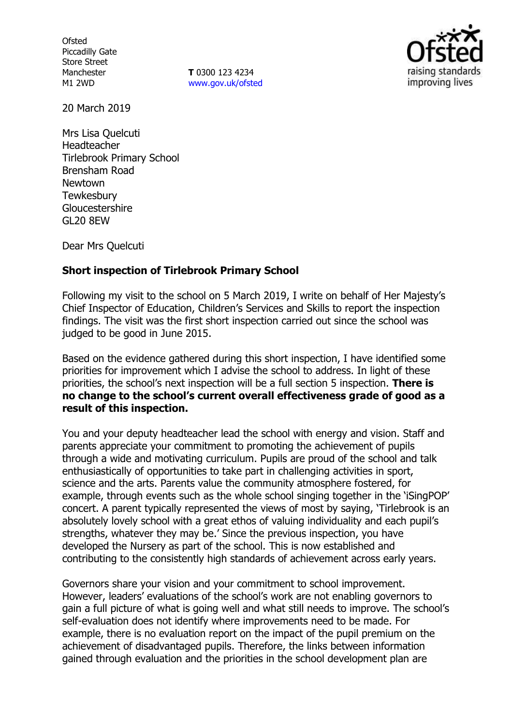**Ofsted** Piccadilly Gate Store Street Manchester M1 2WD

**T** 0300 123 4234 www.gov.uk/ofsted



20 March 2019

Mrs Lisa Quelcuti Headteacher Tirlebrook Primary School Brensham Road Newtown **Tewkesbury** Gloucestershire GL20 8EW

Dear Mrs Quelcuti

### **Short inspection of Tirlebrook Primary School**

Following my visit to the school on 5 March 2019, I write on behalf of Her Majesty's Chief Inspector of Education, Children's Services and Skills to report the inspection findings. The visit was the first short inspection carried out since the school was judged to be good in June 2015.

Based on the evidence gathered during this short inspection, I have identified some priorities for improvement which I advise the school to address. In light of these priorities, the school's next inspection will be a full section 5 inspection. **There is no change to the school's current overall effectiveness grade of good as a result of this inspection.**

You and your deputy headteacher lead the school with energy and vision. Staff and parents appreciate your commitment to promoting the achievement of pupils through a wide and motivating curriculum. Pupils are proud of the school and talk enthusiastically of opportunities to take part in challenging activities in sport, science and the arts. Parents value the community atmosphere fostered, for example, through events such as the whole school singing together in the 'iSingPOP' concert. A parent typically represented the views of most by saying, 'Tirlebrook is an absolutely lovely school with a great ethos of valuing individuality and each pupil's strengths, whatever they may be.' Since the previous inspection, you have developed the Nursery as part of the school. This is now established and contributing to the consistently high standards of achievement across early years.

Governors share your vision and your commitment to school improvement. However, leaders' evaluations of the school's work are not enabling governors to gain a full picture of what is going well and what still needs to improve. The school's self-evaluation does not identify where improvements need to be made. For example, there is no evaluation report on the impact of the pupil premium on the achievement of disadvantaged pupils. Therefore, the links between information gained through evaluation and the priorities in the school development plan are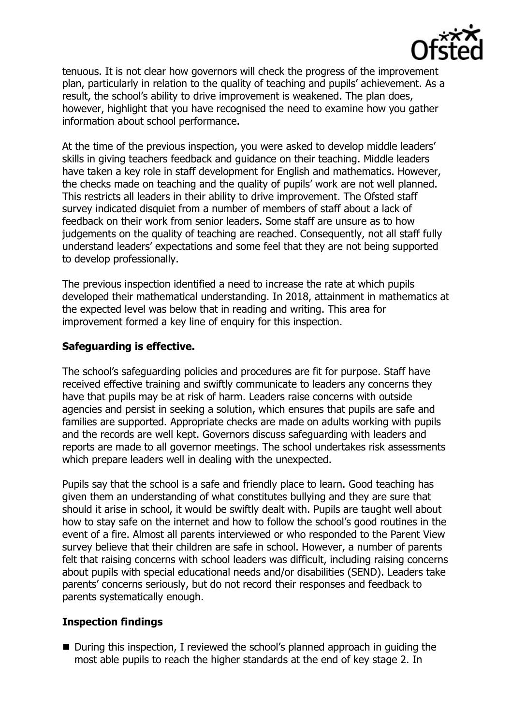

tenuous. It is not clear how governors will check the progress of the improvement plan, particularly in relation to the quality of teaching and pupils' achievement. As a result, the school's ability to drive improvement is weakened. The plan does, however, highlight that you have recognised the need to examine how you gather information about school performance.

At the time of the previous inspection, you were asked to develop middle leaders' skills in giving teachers feedback and guidance on their teaching. Middle leaders have taken a key role in staff development for English and mathematics. However, the checks made on teaching and the quality of pupils' work are not well planned. This restricts all leaders in their ability to drive improvement. The Ofsted staff survey indicated disquiet from a number of members of staff about a lack of feedback on their work from senior leaders. Some staff are unsure as to how judgements on the quality of teaching are reached. Consequently, not all staff fully understand leaders' expectations and some feel that they are not being supported to develop professionally.

The previous inspection identified a need to increase the rate at which pupils developed their mathematical understanding. In 2018, attainment in mathematics at the expected level was below that in reading and writing. This area for improvement formed a key line of enquiry for this inspection.

## **Safeguarding is effective.**

The school's safeguarding policies and procedures are fit for purpose. Staff have received effective training and swiftly communicate to leaders any concerns they have that pupils may be at risk of harm. Leaders raise concerns with outside agencies and persist in seeking a solution, which ensures that pupils are safe and families are supported. Appropriate checks are made on adults working with pupils and the records are well kept. Governors discuss safeguarding with leaders and reports are made to all governor meetings. The school undertakes risk assessments which prepare leaders well in dealing with the unexpected.

Pupils say that the school is a safe and friendly place to learn. Good teaching has given them an understanding of what constitutes bullying and they are sure that should it arise in school, it would be swiftly dealt with. Pupils are taught well about how to stay safe on the internet and how to follow the school's good routines in the event of a fire. Almost all parents interviewed or who responded to the Parent View survey believe that their children are safe in school. However, a number of parents felt that raising concerns with school leaders was difficult, including raising concerns about pupils with special educational needs and/or disabilities (SEND). Leaders take parents' concerns seriously, but do not record their responses and feedback to parents systematically enough.

### **Inspection findings**

■ During this inspection, I reviewed the school's planned approach in quiding the most able pupils to reach the higher standards at the end of key stage 2. In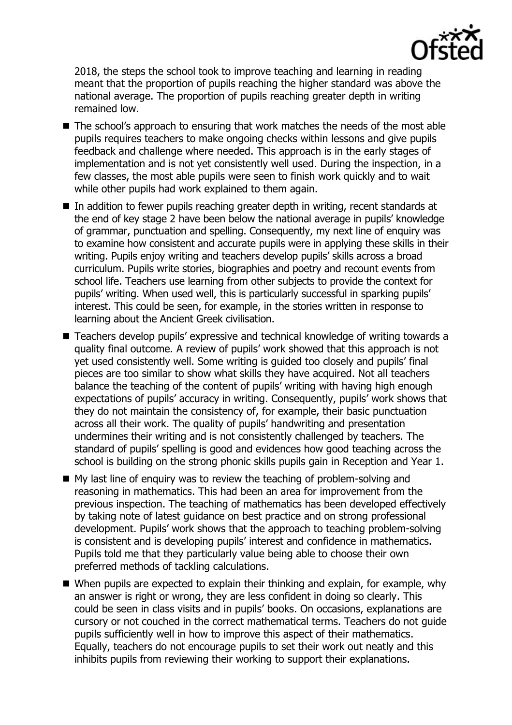

2018, the steps the school took to improve teaching and learning in reading meant that the proportion of pupils reaching the higher standard was above the national average. The proportion of pupils reaching greater depth in writing remained low.

- The school's approach to ensuring that work matches the needs of the most able pupils requires teachers to make ongoing checks within lessons and give pupils feedback and challenge where needed. This approach is in the early stages of implementation and is not yet consistently well used. During the inspection, in a few classes, the most able pupils were seen to finish work quickly and to wait while other pupils had work explained to them again.
- In addition to fewer pupils reaching greater depth in writing, recent standards at the end of key stage 2 have been below the national average in pupils' knowledge of grammar, punctuation and spelling. Consequently, my next line of enquiry was to examine how consistent and accurate pupils were in applying these skills in their writing. Pupils enjoy writing and teachers develop pupils' skills across a broad curriculum. Pupils write stories, biographies and poetry and recount events from school life. Teachers use learning from other subjects to provide the context for pupils' writing. When used well, this is particularly successful in sparking pupils' interest. This could be seen, for example, in the stories written in response to learning about the Ancient Greek civilisation.
- Teachers develop pupils' expressive and technical knowledge of writing towards a quality final outcome. A review of pupils' work showed that this approach is not yet used consistently well. Some writing is guided too closely and pupils' final pieces are too similar to show what skills they have acquired. Not all teachers balance the teaching of the content of pupils' writing with having high enough expectations of pupils' accuracy in writing. Consequently, pupils' work shows that they do not maintain the consistency of, for example, their basic punctuation across all their work. The quality of pupils' handwriting and presentation undermines their writing and is not consistently challenged by teachers. The standard of pupils' spelling is good and evidences how good teaching across the school is building on the strong phonic skills pupils gain in Reception and Year 1.
- $\blacksquare$  My last line of enguiry was to review the teaching of problem-solving and reasoning in mathematics. This had been an area for improvement from the previous inspection. The teaching of mathematics has been developed effectively by taking note of latest guidance on best practice and on strong professional development. Pupils' work shows that the approach to teaching problem-solving is consistent and is developing pupils' interest and confidence in mathematics. Pupils told me that they particularly value being able to choose their own preferred methods of tackling calculations.
- When pupils are expected to explain their thinking and explain, for example, why an answer is right or wrong, they are less confident in doing so clearly. This could be seen in class visits and in pupils' books. On occasions, explanations are cursory or not couched in the correct mathematical terms. Teachers do not guide pupils sufficiently well in how to improve this aspect of their mathematics. Equally, teachers do not encourage pupils to set their work out neatly and this inhibits pupils from reviewing their working to support their explanations.